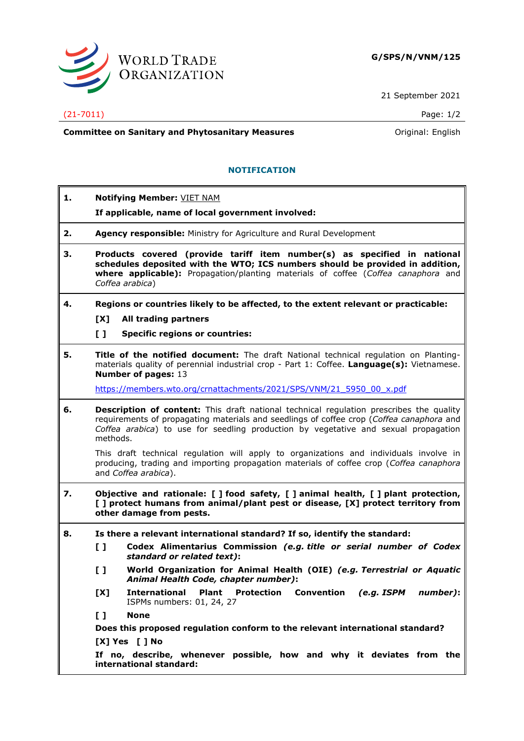

21 September 2021

## (21-7011) Page: 1/2

**Committee on Sanitary and Phytosanitary Measures Committee on Sanitary and Phytosanitary Measures Committee on Sanitary and Phytosanitary Measures** 

## **NOTIFICATION**

| 1. | <b>Notifying Member: VIET NAM</b>                                                                                                                                                                                                                                                             |
|----|-----------------------------------------------------------------------------------------------------------------------------------------------------------------------------------------------------------------------------------------------------------------------------------------------|
|    | If applicable, name of local government involved:                                                                                                                                                                                                                                             |
| 2. | Agency responsible: Ministry for Agriculture and Rural Development                                                                                                                                                                                                                            |
| 3. | Products covered (provide tariff item number(s) as specified in national<br>schedules deposited with the WTO; ICS numbers should be provided in addition,<br>where applicable): Propagation/planting materials of coffee (Coffea canaphora and<br>Coffea arabica)                             |
| 4. | Regions or countries likely to be affected, to the extent relevant or practicable:                                                                                                                                                                                                            |
|    | [X]<br>All trading partners                                                                                                                                                                                                                                                                   |
|    | $\mathbf{L}$<br><b>Specific regions or countries:</b>                                                                                                                                                                                                                                         |
| 5. | Title of the notified document: The draft National technical regulation on Planting-<br>materials quality of perennial industrial crop - Part 1: Coffee. Language(s): Vietnamese.<br><b>Number of pages: 13</b>                                                                               |
|    | https://members.wto.org/crnattachments/2021/SPS/VNM/21 5950 00 x.pdf                                                                                                                                                                                                                          |
| 6. | <b>Description of content:</b> This draft national technical regulation prescribes the quality<br>requirements of propagating materials and seedlings of coffee crop (Coffea canaphora and<br>Coffea arabica) to use for seedling production by vegetative and sexual propagation<br>methods. |
|    | This draft technical regulation will apply to organizations and individuals involve in<br>producing, trading and importing propagation materials of coffee crop (Coffea canaphora<br>and Coffea arabica).                                                                                     |
| 7. | Objective and rationale: [ ] food safety, [ ] animal health, [ ] plant protection,<br>[] protect humans from animal/plant pest or disease, [X] protect territory from<br>other damage from pests.                                                                                             |
| 8. | Is there a relevant international standard? If so, identify the standard:                                                                                                                                                                                                                     |
|    | $\mathbf{L}$<br>Codex Alimentarius Commission (e.g. title or serial number of Codex<br>standard or related text):                                                                                                                                                                             |
|    | $\mathbf{L}$<br>World Organization for Animal Health (OIE) (e.g. Terrestrial or Aquatic<br>Animal Health Code, chapter number):                                                                                                                                                               |
|    | Plant Protection Convention (e.g. ISPM number):<br>[X]<br>International<br>ISPMs numbers: 01, 24, 27                                                                                                                                                                                          |
|    | $\mathbf{L}$<br><b>None</b>                                                                                                                                                                                                                                                                   |
|    | Does this proposed regulation conform to the relevant international standard?                                                                                                                                                                                                                 |
|    | $[X]$ Yes $[]$ No                                                                                                                                                                                                                                                                             |
|    | If no, describe, whenever possible, how and why it deviates from the<br>international standard:                                                                                                                                                                                               |